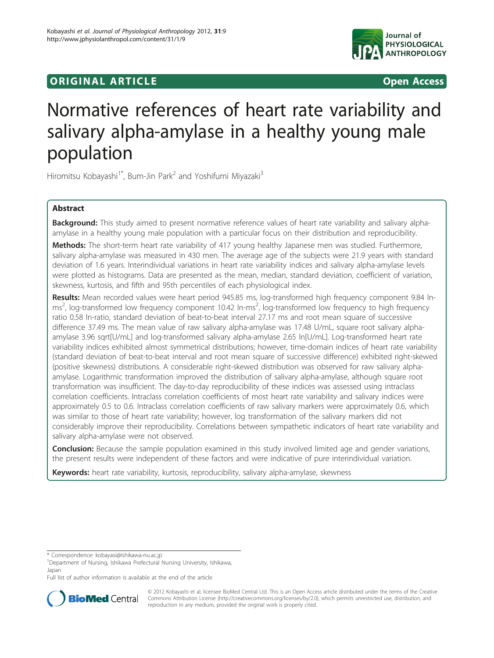# **ORIGINAL ARTICLE CONSUMING ACCESS**



# Normative references of heart rate variability and salivary alpha-amylase in a healthy young male population

Hiromitsu Kobayashi<sup>1\*</sup>, Bum-Jin Park<sup>2</sup> and Yoshifumi Miyazaki<sup>3</sup>

# Abstract

Background: This study aimed to present normative reference values of heart rate variability and salivary alphaamylase in a healthy young male population with a particular focus on their distribution and reproducibility. Methods: The short-term heart rate variability of 417 young healthy Japanese men was studied. Furthermore, salivary alpha-amylase was measured in 430 men. The average age of the subjects were 21.9 years with standard deviation of 1.6 years. Interindividual variations in heart rate variability indices and salivary alpha-amylase levels were plotted as histograms. Data are presented as the mean, median, standard deviation, coefficient of variation, skewness, kurtosis, and fifth and 95th percentiles of each physiological index.

Results: Mean recorded values were heart period 945.85 ms, log-transformed high frequency component 9.84 lnms<sup>2</sup>, log-transformed low frequency component 10.42 ln-ms<sup>2</sup>, log-transformed low frequency to high frequency ratio 0.58 ln-ratio, standard deviation of beat-to-beat interval 27.17 ms and root mean square of successive difference 37.49 ms. The mean value of raw salivary alpha-amylase was 17.48 U/mL, square root salivary alphaamylase 3.96 sqrt[U/mL] and log-transformed salivary alpha-amylase 2.65 ln[U/mL]. Log-transformed heart rate variability indices exhibited almost symmetrical distributions; however, time-domain indices of heart rate variability (standard deviation of beat-to-beat interval and root mean square of successive difference) exhibited right-skewed (positive skewness) distributions. A considerable right-skewed distribution was observed for raw salivary alphaamylase. Logarithmic transformation improved the distribution of salivary alpha-amylase, although square root transformation was insufficient. The day-to-day reproducibility of these indices was assessed using intraclass correlation coefficients. Intraclass correlation coefficients of most heart rate variability and salivary indices were approximately 0.5 to 0.6. Intraclass correlation coefficients of raw salivary markers were approximately 0.6, which was similar to those of heart rate variability; however, log transformation of the salivary markers did not considerably improve their reproducibility. Correlations between sympathetic indicators of heart rate variability and salivary alpha-amylase were not observed.

**Conclusion:** Because the sample population examined in this study involved limited age and gender variations, the present results were independent of these factors and were indicative of pure interindividual variation.

Keywords: heart rate variability, kurtosis, reproducibility, salivary alpha-amylase, skewness

Full list of author information is available at the end of the article



© 2012 Kobayashi et al; licensee BioMed Central Ltd. This is an Open Access article distributed under the terms of the Creative Commons Attribution License [\(http://creativecommons.org/licenses/by/2.0](http://creativecommons.org/licenses/by/2.0)), which permits unrestricted use, distribution, and reproduction in any medium, provided the original work is properly cited.

<sup>\*</sup> Correspondence: [kobayasi@ishikawa-nu.ac.jp](mailto:kobayasi@ishikawa-nu.ac.jp)

<sup>&</sup>lt;sup>1</sup>Department of Nursing, Ishikawa Prefectural Nursing University, Ishikawa, Japan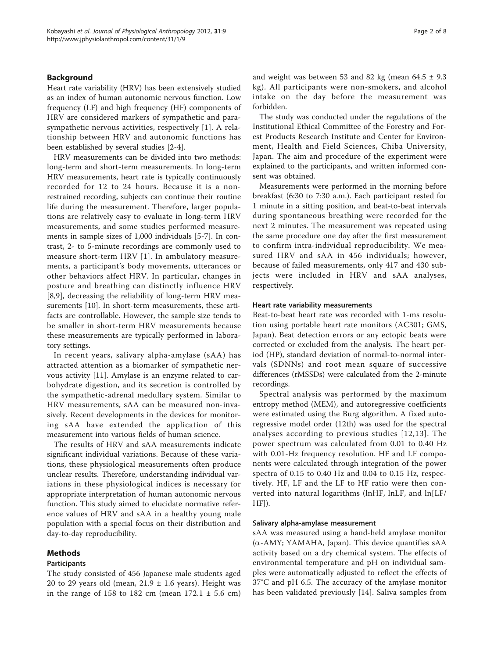# Background

Heart rate variability (HRV) has been extensively studied as an index of human autonomic nervous function. Low frequency (LF) and high frequency (HF) components of HRV are considered markers of sympathetic and parasympathetic nervous activities, respectively [[1\]](#page-6-0). A relationship between HRV and autonomic functions has been established by several studies [[2-4](#page-6-0)].

HRV measurements can be divided into two methods: long-term and short-term measurements. In long-term HRV measurements, heart rate is typically continuously recorded for 12 to 24 hours. Because it is a nonrestrained recording, subjects can continue their routine life during the measurement. Therefore, larger populations are relatively easy to evaluate in long-term HRV measurements, and some studies performed measurements in sample sizes of 1,000 individuals [[5-7](#page-6-0)]. In contrast, 2- to 5-minute recordings are commonly used to measure short-term HRV [[1](#page-6-0)]. In ambulatory measurements, a participant's body movements, utterances or other behaviors affect HRV. In particular, changes in posture and breathing can distinctly influence HRV [[8,9](#page-6-0)], decreasing the reliability of long-term HRV measurements [[10](#page-6-0)]. In short-term measurements, these artifacts are controllable. However, the sample size tends to be smaller in short-term HRV measurements because these measurements are typically performed in laboratory settings.

In recent years, salivary alpha-amylase (sAA) has attracted attention as a biomarker of sympathetic nervous activity [\[11](#page-6-0)]. Amylase is an enzyme related to carbohydrate digestion, and its secretion is controlled by the sympathetic-adrenal medullary system. Similar to HRV measurements, sAA can be measured non-invasively. Recent developments in the devices for monitoring sAA have extended the application of this measurement into various fields of human science.

The results of HRV and sAA measurements indicate significant individual variations. Because of these variations, these physiological measurements often produce unclear results. Therefore, understanding individual variations in these physiological indices is necessary for appropriate interpretation of human autonomic nervous function. This study aimed to elucidate normative reference values of HRV and sAA in a healthy young male population with a special focus on their distribution and day-to-day reproducibility.

#### Methods

## Participants

The study consisted of 456 Japanese male students aged 20 to 29 years old (mean,  $21.9 \pm 1.6$  years). Height was in the range of 158 to 182 cm (mean  $172.1 \pm 5.6$  cm) and weight was between 53 and 82 kg (mean  $64.5 \pm 9.3$ kg). All participants were non-smokers, and alcohol intake on the day before the measurement was forbidden.

The study was conducted under the regulations of the Institutional Ethical Committee of the Forestry and Forest Products Research Institute and Center for Environment, Health and Field Sciences, Chiba University, Japan. The aim and procedure of the experiment were explained to the participants, and written informed consent was obtained.

Measurements were performed in the morning before breakfast (6:30 to 7:30 a.m.). Each participant rested for 1 minute in a sitting position, and beat-to-beat intervals during spontaneous breathing were recorded for the next 2 minutes. The measurement was repeated using the same procedure one day after the first measurement to confirm intra-individual reproducibility. We measured HRV and sAA in 456 individuals; however, because of failed measurements, only 417 and 430 subjects were included in HRV and sAA analyses, respectively.

#### Heart rate variability measurements

Beat-to-beat heart rate was recorded with 1-ms resolution using portable heart rate monitors (AC301; GMS, Japan). Beat detection errors or any ectopic beats were corrected or excluded from the analysis. The heart period (HP), standard deviation of normal-to-normal intervals (SDNNs) and root mean square of successive differences (rMSSDs) were calculated from the 2-minute recordings.

Spectral analysis was performed by the maximum entropy method (MEM), and autoregressive coefficients were estimated using the Burg algorithm. A fixed autoregressive model order (12th) was used for the spectral analyses according to previous studies [[12,13](#page-6-0)]. The power spectrum was calculated from 0.01 to 0.40 Hz with 0.01-Hz frequency resolution. HF and LF components were calculated through integration of the power spectra of 0.15 to 0.40 Hz and 0.04 to 0.15 Hz, respectively. HF, LF and the LF to HF ratio were then converted into natural logarithms (lnHF, lnLF, and ln[LF/ HF]).

#### Salivary alpha-amylase measurement

sAA was measured using a hand-held amylase monitor  $(\alpha$ -AMY; YAMAHA, Japan). This device quantifies sAA activity based on a dry chemical system. The effects of environmental temperature and pH on individual samples were automatically adjusted to reflect the effects of 37°C and pH 6.5. The accuracy of the amylase monitor has been validated previously [\[14](#page-6-0)]. Saliva samples from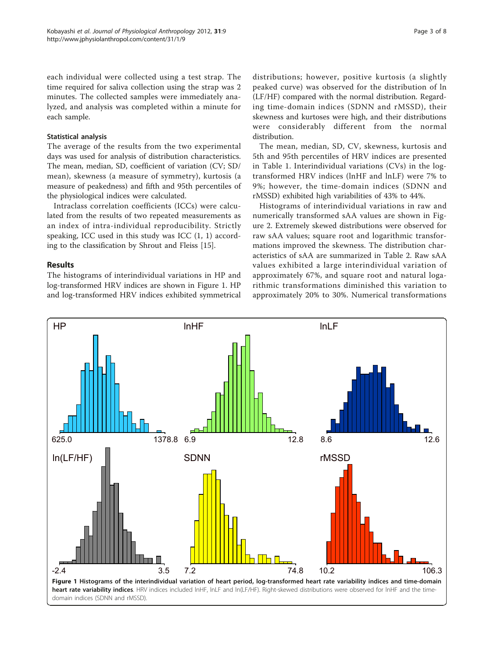each individual were collected using a test strap. The time required for saliva collection using the strap was 2 minutes. The collected samples were immediately analyzed, and analysis was completed within a minute for each sample.

## Statistical analysis

The average of the results from the two experimental days was used for analysis of distribution characteristics. The mean, median, SD, coefficient of variation (CV; SD/ mean), skewness (a measure of symmetry), kurtosis (a measure of peakedness) and fifth and 95th percentiles of the physiological indices were calculated.

Intraclass correlation coefficients (ICCs) were calculated from the results of two repeated measurements as an index of intra-individual reproducibility. Strictly speaking, ICC used in this study was ICC (1, 1) according to the classification by Shrout and Fleiss [\[15\]](#page-6-0).

# Results

The histograms of interindividual variations in HP and log-transformed HRV indices are shown in Figure 1. HP and log-transformed HRV indices exhibited symmetrical

distributions; however, positive kurtosis (a slightly peaked curve) was observed for the distribution of ln (LF/HF) compared with the normal distribution. Regarding time-domain indices (SDNN and rMSSD), their skewness and kurtoses were high, and their distributions were considerably different from the normal distribution.

The mean, median, SD, CV, skewness, kurtosis and 5th and 95th percentiles of HRV indices are presented in Table [1.](#page-3-0) Interindividual variations (CVs) in the logtransformed HRV indices (lnHF and lnLF) were 7% to 9%; however, the time-domain indices (SDNN and rMSSD) exhibited high variabilities of 43% to 44%.

Histograms of interindividual variations in raw and numerically transformed sAA values are shown in Figure [2](#page-3-0). Extremely skewed distributions were observed for raw sAA values; square root and logarithmic transformations improved the skewness. The distribution characteristics of sAA are summarized in Table [2](#page-4-0). Raw sAA values exhibited a large interindividual variation of approximately 67%, and square root and natural logarithmic transformations diminished this variation to approximately 20% to 30%. Numerical transformations

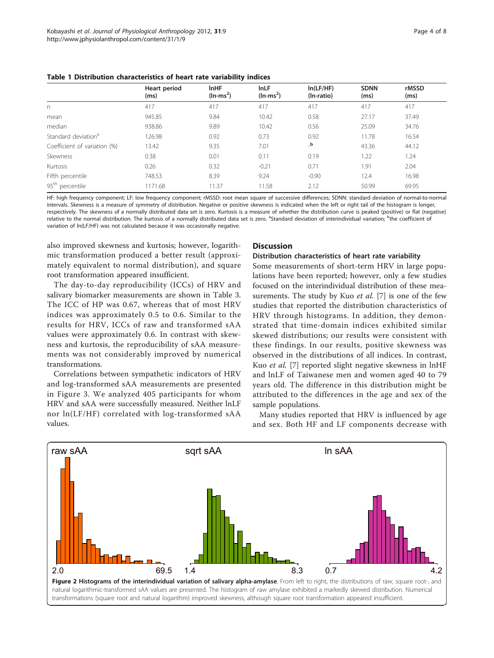<span id="page-3-0"></span>Table 1 Distribution characteristics of heart rate variability indices

|                                 | Heart period<br>(ms) | <b>InHF</b><br>$(ln-ms^2)$ | <b>InLF</b><br>$(ln-ms^2)$ | In(LF/HF)<br>(In-ratio) | <b>SDNN</b><br>(ms) | rMSSD<br>(ms) |
|---------------------------------|----------------------|----------------------------|----------------------------|-------------------------|---------------------|---------------|
| n                               | 417                  | 417                        | 417                        | 417                     | 417                 | 417           |
| mean                            | 945.85               | 9.84                       | 10.42                      | 0.58                    | 27.17               | 37.49         |
| median                          | 938.86               | 9.89                       | 10.42                      | 0.56                    | 25.09               | 34.76         |
| Standard deviation <sup>a</sup> | 126.98               | 0.92                       | 0.73                       | 0.92                    | 11.78               | 16.54         |
| Coefficient of variation (%)    | 13.42                | 9.35                       | 7.01                       | $_b$                    | 43.36               | 44.12         |
| Skewness                        | 0.38                 | 0.01                       | 0.11                       | 0.19                    | 1.22                | 1.24          |
| Kurtosis                        | 0.26                 | 0.32                       | $-0.21$                    | 0.71                    | 1.91                | 2.04          |
| Fifth percentile                | 748.53               | 8.39                       | 9.24                       | $-0.90$                 | 12.4                | 16.98         |
| 95 <sup>th</sup> percentile     | 1171.68              | 11.37                      | 11.58                      | 2.12                    | 50.99               | 69.95         |

HF: high frequency component; LF: low frequency component; rMSSD: root mean square of successive differences; SDNN: standard deviation of normal-to-normal intervals. Skewness is a measure of symmetry of distribution. Negative or positive skewness is indicated when the left or right tail of the histogram is longer, respectively. The skewness of a normally distributed data set is zero. Kurtosis is a measure of whether the distribution curve is peaked (positive) or flat (negative) relative to the normal distribution. The kurtosis of a normally distributed data set is zero. <sup>a</sup>Standard deviation of interindividual variation; <sup>b</sup>the coefficient of variation of ln(LF/HF) was not calculated because it was occasionally negative.

also improved skewness and kurtosis; however, logarithmic transformation produced a better result (approximately equivalent to normal distribution), and square root transformation appeared insufficient.

The day-to-day reproducibility (ICCs) of HRV and salivary biomarker measurements are shown in Table [3](#page-4-0). The ICC of HP was 0.67, whereas that of most HRV indices was approximately 0.5 to 0.6. Similar to the results for HRV, ICCs of raw and transformed sAA values were approximately 0.6. In contrast with skewness and kurtosis, the reproducibility of sAA measurements was not considerably improved by numerical transformations.

Correlations between sympathetic indicators of HRV and log-transformed sAA measurements are presented in Figure [3.](#page-5-0) We analyzed 405 participants for whom HRV and sAA were successfully measured. Neither lnLF nor ln(LF/HF) correlated with log-transformed sAA values.

#### **Discussion**

#### Distribution characteristics of heart rate variability

Some measurements of short-term HRV in large populations have been reported; however, only a few studies focused on the interindividual distribution of these measurements. The study by Kuo *et al.* [[7\]](#page-6-0) is one of the few studies that reported the distribution characteristics of HRV through histograms. In addition, they demonstrated that time-domain indices exhibited similar skewed distributions; our results were consistent with these findings. In our results, positive skewness was observed in the distributions of all indices. In contrast, Kuo et al. [[7\]](#page-6-0) reported slight negative skewness in lnHF and lnLF of Taiwanese men and women aged 40 to 79 years old. The difference in this distribution might be attributed to the differences in the age and sex of the sample populations.

Many studies reported that HRV is influenced by age and sex. Both HF and LF components decrease with

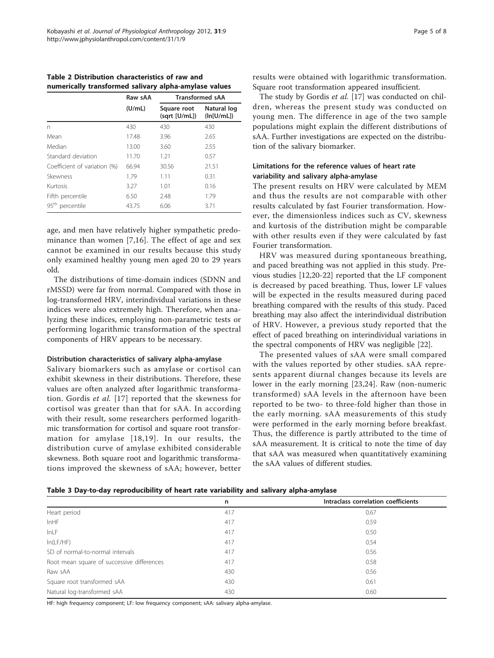|                                | Raw sAA | <b>Transformed sAA</b>       |                           |  |
|--------------------------------|---------|------------------------------|---------------------------|--|
|                                | (U/mL)  | Square root<br>(sqrt [U/mL]) | Natural log<br>(ln[U/mL]) |  |
| n                              | 430     | 430                          | 430                       |  |
| Mean                           | 17.48   | 3.96                         | 2.65                      |  |
| Median                         | 13.00   | 3.60                         | 2.55                      |  |
| Standard deviation             | 11.70   | 1.21                         | 0.57                      |  |
| Coefficient of variation (%)   | 66.94   | 30.56                        | 21.51                     |  |
| Skewness                       | 1.79    | 1.11                         | 0.31                      |  |
| Kurtosis                       | 3.27    | 1.01                         | 0.16                      |  |
| Fifth percentile               | 6.50    | 2.48                         | 1.79                      |  |
| 95 <sup>th</sup><br>percentile | 43.75   | 6.06                         | 3.71                      |  |

<span id="page-4-0"></span>Table 2 Distribution characteristics of raw and numerically transformed salivary alpha-amylase values

age, and men have relatively higher sympathetic predominance than women [[7,16](#page-6-0)]. The effect of age and sex cannot be examined in our results because this study only examined healthy young men aged 20 to 29 years old.

The distributions of time-domain indices (SDNN and rMSSD) were far from normal. Compared with those in log-transformed HRV, interindividual variations in these indices were also extremely high. Therefore, when analyzing these indices, employing non-parametric tests or performing logarithmic transformation of the spectral components of HRV appears to be necessary.

#### Distribution characteristics of salivary alpha-amylase

Salivary biomarkers such as amylase or cortisol can exhibit skewness in their distributions. Therefore, these values are often analyzed after logarithmic transformation. Gordis et al. [[17](#page-6-0)] reported that the skewness for cortisol was greater than that for sAA. In according with their result, some researchers performed logarithmic transformation for cortisol and square root transformation for amylase [[18,19](#page-6-0)]. In our results, the distribution curve of amylase exhibited considerable skewness. Both square root and logarithmic transformations improved the skewness of sAA; however, better

results were obtained with logarithmic transformation. Square root transformation appeared insufficient.

The study by Gordis et al. [[17\]](#page-6-0) was conducted on children, whereas the present study was conducted on young men. The difference in age of the two sample populations might explain the different distributions of sAA. Further investigations are expected on the distribution of the salivary biomarker.

# Limitations for the reference values of heart rate variability and salivary alpha-amylase

The present results on HRV were calculated by MEM and thus the results are not comparable with other results calculated by fast Fourier transformation. However, the dimensionless indices such as CV, skewness and kurtosis of the distribution might be comparable with other results even if they were calculated by fast Fourier transformation.

HRV was measured during spontaneous breathing, and paced breathing was not applied in this study. Previous studies [[12](#page-6-0),[20](#page-6-0)-[22\]](#page-6-0) reported that the LF component is decreased by paced breathing. Thus, lower LF values will be expected in the results measured during paced breathing compared with the results of this study. Paced breathing may also affect the interindividual distribution of HRV. However, a previous study reported that the effect of paced breathing on interindividual variations in the spectral components of HRV was negligible [[22](#page-6-0)].

The presented values of sAA were small compared with the values reported by other studies. sAA represents apparent diurnal changes because its levels are lower in the early morning [[23](#page-6-0),[24\]](#page-6-0). Raw (non-numeric transformed) sAA levels in the afternoon have been reported to be two- to three-fold higher than those in the early morning. sAA measurements of this study were performed in the early morning before breakfast. Thus, the difference is partly attributed to the time of sAA measurement. It is critical to note the time of day that sAA was measured when quantitatively examining the sAA values of different studies.

| Table 3 Day-to-day reproducibility of heart rate variability and salivary alpha-amylase |  |  |  |  |  |
|-----------------------------------------------------------------------------------------|--|--|--|--|--|
|-----------------------------------------------------------------------------------------|--|--|--|--|--|

|                                            | n   | Intraclass correlation coefficients |
|--------------------------------------------|-----|-------------------------------------|
| Heart period                               | 417 | 0.67                                |
| InHF                                       | 417 | 0.59                                |
| InLF                                       | 417 | 0.50                                |
| ln(LF/HF)                                  | 417 | 0.54                                |
| SD of normal-to-normal intervals           | 417 | 0.56                                |
| Root mean square of successive differences | 417 | 0.58                                |
| Raw sAA                                    | 430 | 0.56                                |
| Square root transformed sAA                | 430 | 0.61                                |
| Natural log-transformed sAA                | 430 | 0.60                                |

HF: high frequency component; LF: low frequency component; sAA: salivary alpha-amylase.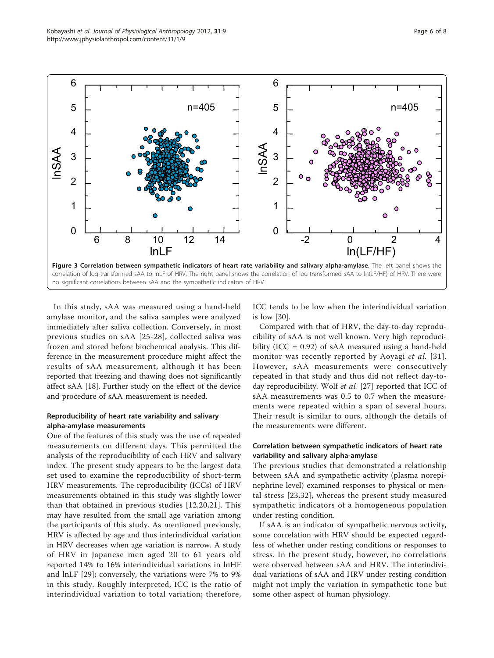<span id="page-5-0"></span>

In this study, sAA was measured using a hand-held amylase monitor, and the saliva samples were analyzed immediately after saliva collection. Conversely, in most previous studies on sAA [[25-28\]](#page-6-0), collected saliva was frozen and stored before biochemical analysis. This difference in the measurement procedure might affect the results of sAA measurement, although it has been reported that freezing and thawing does not significantly affect sAA [[18\]](#page-6-0). Further study on the effect of the device and procedure of sAA measurement is needed.

# Reproducibility of heart rate variability and salivary alpha-amylase measurements

One of the features of this study was the use of repeated measurements on different days. This permitted the analysis of the reproducibility of each HRV and salivary index. The present study appears to be the largest data set used to examine the reproducibility of short-term HRV measurements. The reproducibility (ICCs) of HRV measurements obtained in this study was slightly lower than that obtained in previous studies [\[12,20,21\]](#page-6-0). This may have resulted from the small age variation among the participants of this study. As mentioned previously, HRV is affected by age and thus interindividual variation in HRV decreases when age variation is narrow. A study of HRV in Japanese men aged 20 to 61 years old reported 14% to 16% interindividual variations in lnHF and lnLF [[29\]](#page-6-0); conversely, the variations were 7% to 9% in this study. Roughly interpreted, ICC is the ratio of interindividual variation to total variation; therefore,

ICC tends to be low when the interindividual variation is low [\[30\]](#page-6-0).

Compared with that of HRV, the day-to-day reproducibility of sAA is not well known. Very high reproducibility (ICC = 0.92) of sAA measured using a hand-held monitor was recently reported by Aoyagi *et al.* [[31\]](#page-6-0). However, sAA measurements were consecutively repeated in that study and thus did not reflect day-to-day reproducibility. Wolf et al. [\[27](#page-6-0)] reported that ICC of sAA measurements was 0.5 to 0.7 when the measurements were repeated within a span of several hours. Their result is similar to ours, although the details of the measurements were different.

# Correlation between sympathetic indicators of heart rate variability and salivary alpha-amylase

The previous studies that demonstrated a relationship between sAA and sympathetic activity (plasma norepinephrine level) examined responses to physical or mental stress [[23,](#page-6-0)[32](#page-7-0)], whereas the present study measured sympathetic indicators of a homogeneous population under resting condition.

If sAA is an indicator of sympathetic nervous activity, some correlation with HRV should be expected regardless of whether under resting conditions or responses to stress. In the present study, however, no correlations were observed between sAA and HRV. The interindividual variations of sAA and HRV under resting condition might not imply the variation in sympathetic tone but some other aspect of human physiology.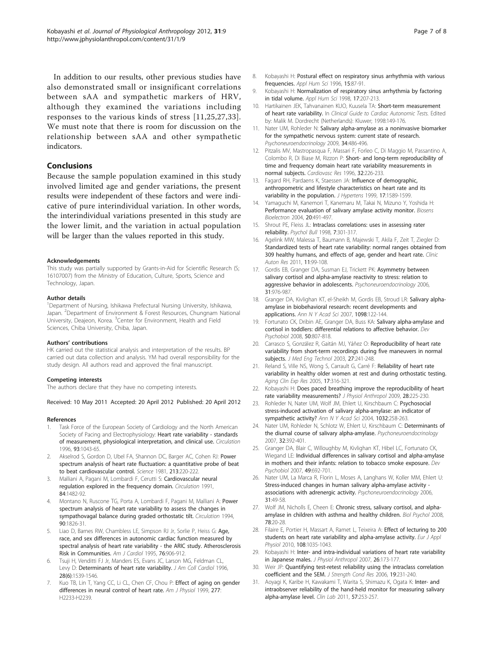<span id="page-6-0"></span>In addition to our results, other previous studies have also demonstrated small or insignificant correlations between sAA and sympathetic markers of HRV, although they examined the variations including responses to the various kinds of stress [11,25,27,[33\]](#page-7-0). We must note that there is room for discussion on the relationship between sAA and other sympathetic indicators.

# Conclusions

Because the sample population examined in this study involved limited age and gender variations, the present results were independent of these factors and were indicative of pure interindividual variation. In other words, the interindividual variations presented in this study are the lower limit, and the variation in actual population will be larger than the values reported in this study.

#### Acknowledgements

This study was partially supported by Grants-in-Aid for Scientific Research (S; 16107007) from the Ministry of Education, Culture, Sports, Science and Technology, Japan.

#### Author details

<sup>1</sup>Department of Nursing, Ishikawa Prefectural Nursing University, Ishikawa, Japan. <sup>2</sup>Department of Environment & Forest Resources, Chungnam National University, Deajeon, Korea. <sup>3</sup>Center for Environment, Health and Field Sciences, Chiba University, Chiba, Japan.

#### Authors' contributions

HK carried out the statistical analysis and interpretation of the results. BP carried out data collection and analysis. YM had overall responsibility for the study design. All authors read and approved the final manuscript.

#### Competing interests

The authors declare that they have no competing interests.

Received: 10 May 2011 Accepted: 20 April 2012 Published: 20 April 2012

#### References

- Task Force of the European Society of Cardiology and the North American Society of Pacing and Electrophysiology: [Heart rate variability - standards](http://www.ncbi.nlm.nih.gov/pubmed/8598068?dopt=Abstract) [of measurement, physiological interpretation, and clinical use.](http://www.ncbi.nlm.nih.gov/pubmed/8598068?dopt=Abstract) Circulation 1996, 93:1043-65.
- 2. Akselrod S, Gordon D, Ubel FA, Shannon DC, Barger AC, Cohen RJ: [Power](http://www.ncbi.nlm.nih.gov/pubmed/6166045?dopt=Abstract) [spectrum analysis of heart rate fluctuation: a quantitative probe of beat](http://www.ncbi.nlm.nih.gov/pubmed/6166045?dopt=Abstract) [to beat cardiovascular control.](http://www.ncbi.nlm.nih.gov/pubmed/6166045?dopt=Abstract) Science 1981, 213:220-222.
- 3. Malliani A, Pagani M, Lombardi F, Cerutti S: Cardiovascular neural regulation explored in the frequency domain. Circulation 1991, 84:1482-92.
- 4. Montano N, Ruscone TG, Porta A, Lombardi F, Pagani M, Malliani A: [Power](http://www.ncbi.nlm.nih.gov/pubmed/7923668?dopt=Abstract) [spectrum analysis of heart rate variability to assess the changes in](http://www.ncbi.nlm.nih.gov/pubmed/7923668?dopt=Abstract) [sympathovagal balance during graded orthostatic tilt.](http://www.ncbi.nlm.nih.gov/pubmed/7923668?dopt=Abstract) Circulation 1994, 90:1826-31.
- 5. Liao D, Barnes RW, Chambless LE, Simpson RJ Jr, Sorlie P, Heiss G: [Age,](http://www.ncbi.nlm.nih.gov/pubmed/7484830?dopt=Abstract) [race, and sex differences in autonomic cardiac function measured by](http://www.ncbi.nlm.nih.gov/pubmed/7484830?dopt=Abstract) [spectral analysis of heart rate variability - the ARIC study. Atherosclerosis](http://www.ncbi.nlm.nih.gov/pubmed/7484830?dopt=Abstract) [Risk in Communities.](http://www.ncbi.nlm.nih.gov/pubmed/7484830?dopt=Abstract) Am J Cardiol 1995, 76:906-912.
- Tsuji H, Venditti FJ Jr, Manders ES, Evans JC, Larson MG, Feldman CL, Levy D: [Determinants of heart rate variability.](http://www.ncbi.nlm.nih.gov/pubmed/8917269?dopt=Abstract) J Am Coll Cardiol 1996, 28(6):1539-1546.
- Kuo TB, Lin T, Yang CC, Li CL, Chen CF, Chou P: [Effect of aging on gender](http://www.ncbi.nlm.nih.gov/pubmed/10600841?dopt=Abstract) [differences in neural control of heart rate.](http://www.ncbi.nlm.nih.gov/pubmed/10600841?dopt=Abstract) Am J Physiol 1999, 277: H2233-H2239.
- 8. Kobayashi H: Postural effect on respiratory sinus arrhythmia with various frequencies. Appl Hum Sci 1996, 15:87-91.
- 9. Kobayashi H: Normalization of respiratory sinus arrhythmia by factoring in tidal volume. Appl Hum Sci 1998, 17:207-213.
- 10. Hartikainen JEK, Tahvanainen KUO, Kuusela TA: Short-term measurement of heart rate variability. In Clinical Guide to Cardiac Autonomic Tests. Edited by: Malik M. Dordrecht (Netherlands): Kluwer; 1998:149-176.
- 11. Nater UM, Rohleder N: [Salivary alpha-amylase as a noninvasive biomarker](http://www.ncbi.nlm.nih.gov/pubmed/19249160?dopt=Abstract) [for the sympathetic nervous system: current state of research.](http://www.ncbi.nlm.nih.gov/pubmed/19249160?dopt=Abstract) Psychoneuroendocrinology 2009, 34:486-496.
- 12. Pitzalis MV, Mastropasqua F, Massari F, Forleo C, Di Maggio M, Passantino A, Colombo R, Di Biase M, Rizzon P: [Short- and long-term reproducibility of](http://www.ncbi.nlm.nih.gov/pubmed/8796108?dopt=Abstract) [time and frequency domain heart rate variability measurements in](http://www.ncbi.nlm.nih.gov/pubmed/8796108?dopt=Abstract) [normal subjects.](http://www.ncbi.nlm.nih.gov/pubmed/8796108?dopt=Abstract) Cardiovasc Res 1996, 32:226-233.
- 13. Fagard RH, Pardaens K, Staessen JA: [Influence of demographic,](http://www.ncbi.nlm.nih.gov/pubmed/10608473?dopt=Abstract) [anthropometric and lifestyle characteristics on heart rate and its](http://www.ncbi.nlm.nih.gov/pubmed/10608473?dopt=Abstract) [variability in the population.](http://www.ncbi.nlm.nih.gov/pubmed/10608473?dopt=Abstract) J Hypertens 1999, 17:1589-1599.
- 14. Yamaguchi M, Kanemori T, Kanemaru M, Takai N, Mizuno Y, Yoshida H: [Performance evaluation of salivary amylase activity monitor.](http://www.ncbi.nlm.nih.gov/pubmed/15494230?dopt=Abstract) Biosens Bioelectron 2004, 20:491-497.
- 15. Shrout PE, Fleiss JL: Intraclass correlations: uses in assessing rater reliability. Psychol Bull 1998, 7:301-317.
- 16. Agelink MW, Malessa T, Baumann B, Majewski T, Akila F, Zeit T, Ziegler D: Standardized tests of heart rate variability: normal ranges obtained from 309 healthy humans, and effects of age, gender and heart rate. Clinic Auton Res 2011, 11:99-108.
- 17. Gordis EB, Granger DA, Susman EJ, Trickett PK: [Asymmetry between](http://www.ncbi.nlm.nih.gov/pubmed/16879926?dopt=Abstract) [salivary cortisol and alpha-amylase reactivity to stress: relation to](http://www.ncbi.nlm.nih.gov/pubmed/16879926?dopt=Abstract) [aggressive behavior in adolescents.](http://www.ncbi.nlm.nih.gov/pubmed/16879926?dopt=Abstract) Psychoneuroendocrinology 2006, 31:976-987.
- 18. Granger DA, Kivlighan KT, el-Sheikh M, Gordis EB, Stroud LR: [Salivary alpha](http://www.ncbi.nlm.nih.gov/pubmed/17332070?dopt=Abstract)[amylase in biobehavioral research: recent developments and](http://www.ncbi.nlm.nih.gov/pubmed/17332070?dopt=Abstract) [applications.](http://www.ncbi.nlm.nih.gov/pubmed/17332070?dopt=Abstract) Ann N Y Acad Sci 2007, 1098:122-144.
- 19. Fortunato CK, Dribin AE, Granger DA, Buss KA: [Salivary alpha-amylase and](http://www.ncbi.nlm.nih.gov/pubmed/18688807?dopt=Abstract) [cortisol in toddlers: differential relations to affective behavior.](http://www.ncbi.nlm.nih.gov/pubmed/18688807?dopt=Abstract) Dev Psychobiol 2008, 50:807-818.
- 20. Carrasco S, González R, Gaitán MJ, Yáñez O: [Reproducibility of heart rate](http://www.ncbi.nlm.nih.gov/pubmed/14602515?dopt=Abstract) [variability from short-term recordings during five maneuvers in normal](http://www.ncbi.nlm.nih.gov/pubmed/14602515?dopt=Abstract) [subjects.](http://www.ncbi.nlm.nih.gov/pubmed/14602515?dopt=Abstract) J Med Eng Technol 2003, 27:241-248.
- 21. Reland S, Ville NS, Wong S, Carrault G, Carré F: [Reliability of heart rate](http://www.ncbi.nlm.nih.gov/pubmed/16285198?dopt=Abstract) [variability in healthy older women at rest and during orthostatic testing.](http://www.ncbi.nlm.nih.gov/pubmed/16285198?dopt=Abstract) Aging Clin Exp Res 2005, 17:316-321.
- 22. Kobayashi H: [Does paced breathing improve the reproducibility of heart](http://www.ncbi.nlm.nih.gov/pubmed/19823004?dopt=Abstract) [rate variability measurements?](http://www.ncbi.nlm.nih.gov/pubmed/19823004?dopt=Abstract) J Physiol Anthropol 2009, 28:225-230.
- 23. Rohleder N, Nater UM, Wolf JM, Ehlert U, Kirschbaum C: [Psychosocial](http://www.ncbi.nlm.nih.gov/pubmed/15677423?dopt=Abstract) [stress-induced activation of salivary alpha-amylase: an indicator of](http://www.ncbi.nlm.nih.gov/pubmed/15677423?dopt=Abstract) [sympathetic activity?](http://www.ncbi.nlm.nih.gov/pubmed/15677423?dopt=Abstract) Ann N Y Acad Sci 2004, 1032:258-263.
- 24. Nater UM, Rohleder N, Schlotz W, Ehlert U, Kirschbaum C: [Determinants of](http://www.ncbi.nlm.nih.gov/pubmed/17418498?dopt=Abstract) [the diurnal course of salivary alpha-amylase.](http://www.ncbi.nlm.nih.gov/pubmed/17418498?dopt=Abstract) Psychoneuroendocrinology 2007, 32:392-401.
- 25. Granger DA, Blair C, Willoughby M, Kivlighan KT, Hibel LC, Fortunato CK, Wiegand LE: [Individual differences in salivary cortisol and alpha-amylase](http://www.ncbi.nlm.nih.gov/pubmed/17943979?dopt=Abstract) [in mothers and their infants: relation to tobacco smoke exposure.](http://www.ncbi.nlm.nih.gov/pubmed/17943979?dopt=Abstract) Dev Psychobiol 2007, 49:692-701.
- 26. Nater UM, La Marca R, Florin L, Moses A, Langhans W, Koller MM, Ehlert U: [Stress-induced changes in human salivary alpha-amylase activity](http://www.ncbi.nlm.nih.gov/pubmed/16002223?dopt=Abstract)  [associations with adrenergic activity.](http://www.ncbi.nlm.nih.gov/pubmed/16002223?dopt=Abstract) Psychoneuroendocrinology 2006, 31:49-58.
- 27. Wolf JM, Nicholls E, Cheen E: [Chronic stress, salivary cortisol, and alpha](http://www.ncbi.nlm.nih.gov/pubmed/18243483?dopt=Abstract)[amylase in children with asthma and healthy children.](http://www.ncbi.nlm.nih.gov/pubmed/18243483?dopt=Abstract) Biol Psychol 2008, 78:20-28.
- 28. Filaire E, Portier H, Massart A, Ramet L, Teixeira A: [Effect of lecturing to 200](http://www.ncbi.nlm.nih.gov/pubmed/20012447?dopt=Abstract) [students on heart rate variability and alpha-amylase activity.](http://www.ncbi.nlm.nih.gov/pubmed/20012447?dopt=Abstract) Eur J Appl Physiol 2010, 108:1035-1043.
- 29. Kobayashi H: [Inter- and intra-individual variations of heart rate variability](http://www.ncbi.nlm.nih.gov/pubmed/17435361?dopt=Abstract) [in Japanese males.](http://www.ncbi.nlm.nih.gov/pubmed/17435361?dopt=Abstract) J Physiol Anthropol 2007, 26:173-177.
- 30. Weir JP: Quantifying test-retest reliability using the intraclass correlation coefficient and the SEM. J Strength Cond Res 2006, 19:231-240.
- 31. Aoyagi K, Karibe H, Kawakami T, Warita S, Shimazu K, Ogata K: [Inter- and](http://www.ncbi.nlm.nih.gov/pubmed/21500735?dopt=Abstract) [intraobserver reliability of the hand-held monitor for measuring salivary](http://www.ncbi.nlm.nih.gov/pubmed/21500735?dopt=Abstract) [alpha-amylase level.](http://www.ncbi.nlm.nih.gov/pubmed/21500735?dopt=Abstract) Clin Lab 2011, 57:253-257.